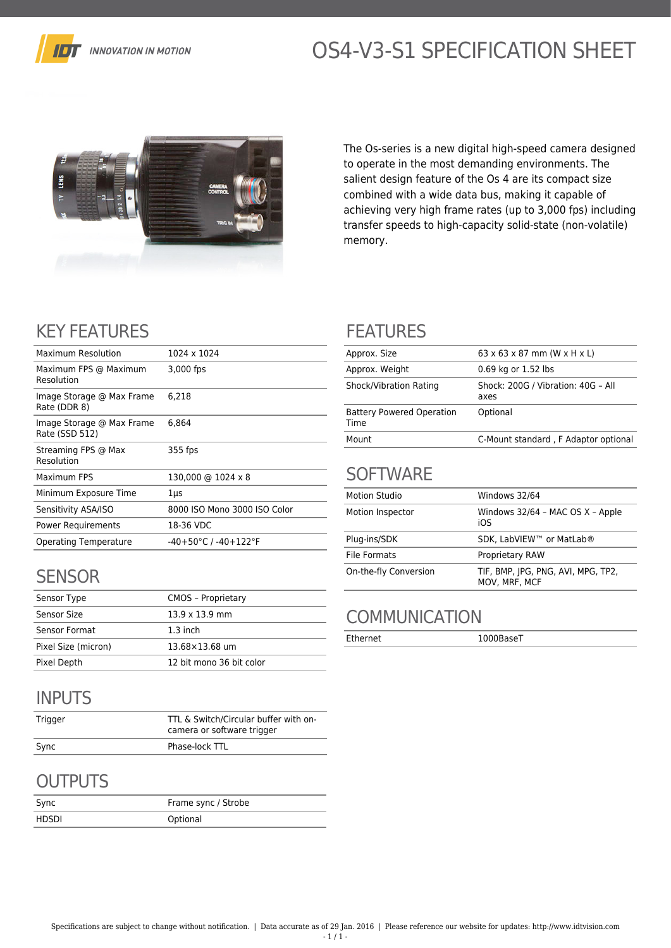

# OS4-V3-S1 SPECIFICATION SHEET



The Os-series is a new digital high-speed camera designed to operate in the most demanding environments. The salient design feature of the Os 4 are its compact size combined with a wide data bus, making it capable of achieving very high frame rates (up to 3,000 fps) including transfer speeds to high-capacity solid-state (non-volatile) memory.

## KEY FEATURES

| <b>Maximum Resolution</b>                   | 1024 x 1024                              |
|---------------------------------------------|------------------------------------------|
| Maximum FPS @ Maximum<br>Resolution         | 3,000 fps                                |
| Image Storage @ Max Frame<br>Rate (DDR 8)   | 6.218                                    |
| Image Storage @ Max Frame<br>Rate (SSD 512) | 6,864                                    |
| Streaming FPS @ Max<br>Resolution           | 355 fps                                  |
| Maximum FPS                                 | 130,000 @ 1024 x 8                       |
| Minimum Exposure Time                       | 1µs                                      |
| Sensitivity ASA/ISO                         | 8000 ISO Mono 3000 ISO Color             |
| Power Requirements                          | 18-36 VDC                                |
| <b>Operating Temperature</b>                | $-40+50^{\circ}$ C / $-40+122^{\circ}$ F |
|                                             |                                          |

## **SENSOR**

| Sensor Type         | <b>CMOS - Proprietary</b> |
|---------------------|---------------------------|
| Sensor Size         | $13.9 \times 13.9$ mm     |
| Sensor Format       | $1.3$ inch                |
| Pixel Size (micron) | 13.68×13.68 um            |
| Pixel Depth         | 12 bit mono 36 bit color  |

## INPUTS

| Trigger | TTL & Switch/Circular buffer with on-<br>camera or software trigger |
|---------|---------------------------------------------------------------------|
| Sync    | Phase-lock TTL                                                      |

## **OUTPUTS**

| Sync  | Frame sync / Strobe |
|-------|---------------------|
| HDSDI | Optional            |

#### FEATURES

| Approx. Size                             | $63 \times 63 \times 87$ mm (W $\times$ H $\times$ L) |
|------------------------------------------|-------------------------------------------------------|
| Approx. Weight                           | 0.69 kg or 1.52 lbs                                   |
| Shock/Vibration Rating                   | Shock: 200G / Vibration: 40G - All<br>axes            |
| <b>Battery Powered Operation</b><br>Time | Optional                                              |
| Mount                                    | C-Mount standard, F Adaptor optional                  |

#### **SOFTWARE**

| <b>Motion Studio</b>  | Windows 32/64                                       |
|-----------------------|-----------------------------------------------------|
| Motion Inspector      | Windows 32/64 - MAC OS X - Apple<br>iOS             |
| Plug-ins/SDK          | SDK. LabVIEW™ or MatLab®                            |
| File Formats          | <b>Proprietary RAW</b>                              |
| On-the-fly Conversion | TIF, BMP, JPG, PNG, AVI, MPG, TP2,<br>MOV. MRF. MCF |

### **COMMUNICATION**

Ethernet 1000BaseT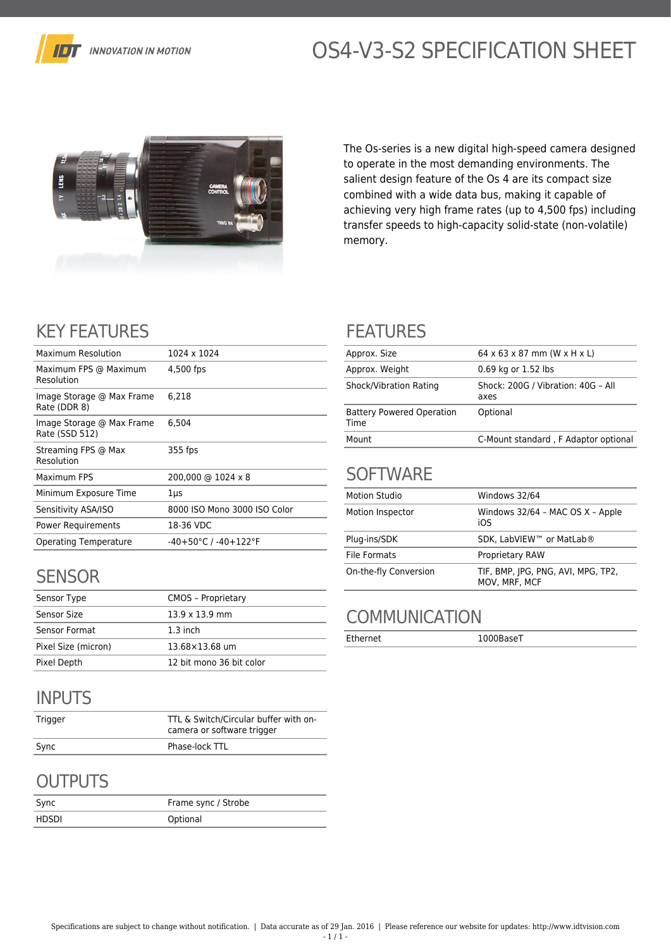

# OS4-V3-S2 SPECIFICATION SHEET



The Os-series is a new digital high-speed camera designed to operate in the most demanding environments. The salient design feature of the Os 4 are its compact size combined with a wide data bus, making it capable of achieving very high frame rates (up to 4,500 fps) including transfer speeds to high-capacity solid-state (non-volatile) memory.

## KEY FEATURES

| Maximum Resolution                          | 1024 x 1024                              |
|---------------------------------------------|------------------------------------------|
| Maximum FPS @ Maximum<br>Resolution         | 4,500 fps                                |
| Image Storage @ Max Frame<br>Rate (DDR 8)   | 6.218                                    |
| Image Storage @ Max Frame<br>Rate (SSD 512) | 6.504                                    |
| Streaming FPS @ Max<br>Resolution           | 355 fps                                  |
| Maximum FPS                                 | 200,000 @ 1024 x 8                       |
| Minimum Exposure Time                       | 1µs                                      |
| Sensitivity ASA/ISO                         | 8000 ISO Mono 3000 ISO Color             |
| Power Requirements                          | 18-36 VDC                                |
| <b>Operating Temperature</b>                | $-40+50^{\circ}$ C / $-40+122^{\circ}$ F |
|                                             |                                          |

## **SENSOR**

| Sensor Type         | <b>CMOS - Proprietary</b> |
|---------------------|---------------------------|
| Sensor Size         | $13.9 \times 13.9$ mm     |
| Sensor Format       | $1.3$ inch                |
| Pixel Size (micron) | 13.68×13.68 um            |
| Pixel Depth         | 12 bit mono 36 bit color  |

## INPUTS

| Trigger | TTL & Switch/Circular buffer with on-<br>camera or software trigger |
|---------|---------------------------------------------------------------------|
| Sync    | Phase-lock TTL                                                      |

## **OUTPUTS**

| Sync  | Frame sync / Strobe |
|-------|---------------------|
| HDSDI | Optional            |

#### FEATURES

| Approx. Size                             | $64 \times 63 \times 87$ mm (W $\times$ H $\times$ L) |
|------------------------------------------|-------------------------------------------------------|
| Approx. Weight                           | 0.69 kg or 1.52 lbs                                   |
| Shock/Vibration Rating                   | Shock: 200G / Vibration: 40G - All<br>axes            |
| <b>Battery Powered Operation</b><br>Time | Optional                                              |
| Mount                                    | C-Mount standard, F Adaptor optional                  |

#### **SOFTWARE**

| <b>Motion Studio</b>  | Windows 32/64                                       |
|-----------------------|-----------------------------------------------------|
| Motion Inspector      | Windows 32/64 - MAC OS X - Apple<br>iOS             |
| Plug-ins/SDK          | SDK. LabVIEW™ or MatLab®                            |
| <b>File Formats</b>   | <b>Proprietary RAW</b>                              |
| On-the-fly Conversion | TIF, BMP, JPG, PNG, AVI, MPG, TP2,<br>MOV, MRF, MCF |

### **COMMUNICATION**

Ethernet 1000BaseT